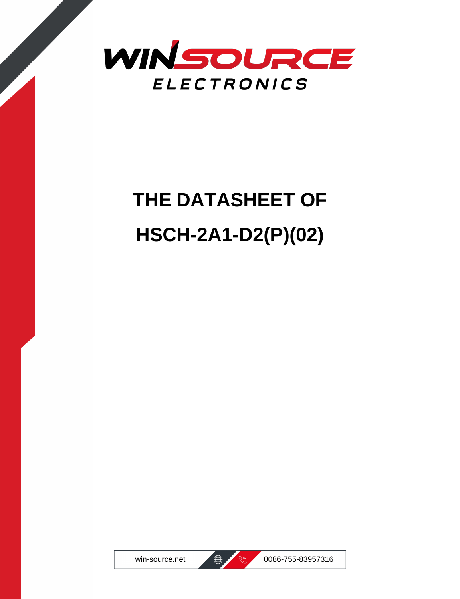

# **THE DATASHEET OF HSCH-2A1-D2(P)(02)**



win-source.net  $\bigoplus$   $\bigotimes$  0086-755-83957316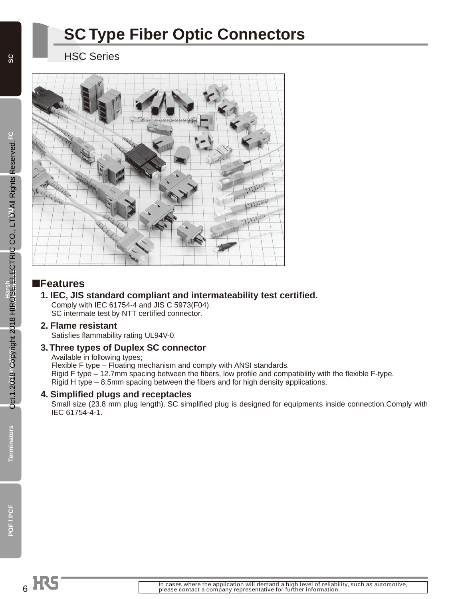# **SC Type Fiber Optic Connectors**

HSC Series



#### ■**Features**

#### **1. IEC, JIS standard compliant and intermateability test certified.**  Comply with IEC 61754-4 and JIS C 5973(F04).

SC intermate test by NTT certified connector.

#### **2. Flame resistant**

Satisfies flammability rating UL94V-0.

#### **3. Three types of Duplex SC connector**

Available in following types; Flexible F type – Floating mechanism and comply with ANSI standards. Rigid F type – 12.7mm spacing between the fibers, low profile and compatibility with the flexible F-type. Rigid H type – 8.5mm spacing between the fibers and for high density applications.

#### **4. Simplified plugs and receptacles**

Small size (23.8 mm plug length). SC simplified plug is designed for equipments inside connection.Comply with IEC 61754-4-1.

**Terminators**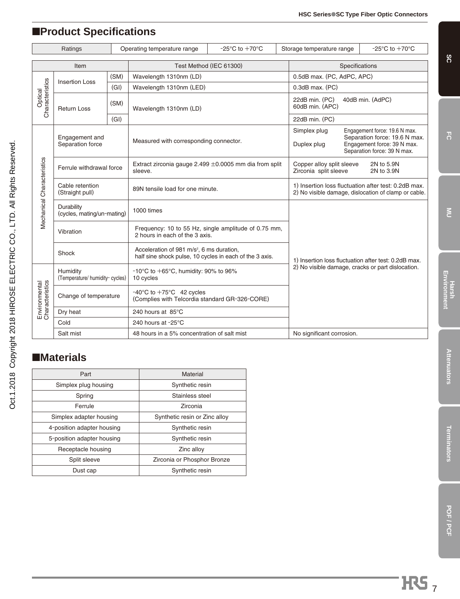# ■**Product Specifications**

| Ratings                          |                                             |      | $-25^{\circ}$ C to $+70^{\circ}$ C<br>Operating temperature range                                                | Storage temperature range | $-25^{\circ}$ C to $+70^{\circ}$ C                 |                                                                                                                              |  |  |
|----------------------------------|---------------------------------------------|------|------------------------------------------------------------------------------------------------------------------|---------------------------|----------------------------------------------------|------------------------------------------------------------------------------------------------------------------------------|--|--|
| Item                             |                                             |      | Test Method (IEC 61300)                                                                                          |                           |                                                    | Specifications                                                                                                               |  |  |
|                                  | (SM)                                        |      | Wavelength 1310nm (LD)                                                                                           |                           | 0.5dB max. (PC, AdPC, APC)                         |                                                                                                                              |  |  |
|                                  | <b>Insertion Loss</b>                       | (GI) | Wavelength 1310nm (LED)                                                                                          |                           | $0.3$ dB max. (PC)                                 |                                                                                                                              |  |  |
| Characteristics<br>Optical       | (SM)<br><b>Return Loss</b>                  |      | Wavelength 1310nm (LD)                                                                                           |                           | 22dB min. (PC)<br>60dB min. (APC)                  | 40dB min. (AdPC)                                                                                                             |  |  |
|                                  |                                             | (GI) |                                                                                                                  |                           | 22dB min. (PC)                                     |                                                                                                                              |  |  |
|                                  | Engagement and<br>Separation force          |      | Measured with corresponding connector.                                                                           |                           | Simplex plug<br>Duplex plug                        | Engagement force: 19.6 N max.<br>Separation force: 19.6 N max.<br>Engagement force: 39 N max.<br>Separation force: 39 N max. |  |  |
| Mechanical Characteristics       | Ferrule withdrawal force                    |      | Extract zirconia gauge 2.499 $\pm$ 0.0005 mm dia from split<br>sleeve.                                           |                           | Copper alloy split sleeve<br>Zirconia split sleeve | 2N to 5.9N<br>2N to 3.9N                                                                                                     |  |  |
|                                  | Cable retention<br>(Straight pull)          |      | 89N tensile load for one minute.                                                                                 |                           |                                                    | 1) Insertion loss fluctuation after test: 0.2dB max.<br>2) No visible damage, dislocation of clamp or cable.                 |  |  |
|                                  | Durability<br>(cycles, mating/un-mating)    |      | 1000 times                                                                                                       |                           |                                                    |                                                                                                                              |  |  |
|                                  | Vibration                                   |      | Frequency: 10 to 55 Hz, single amplitude of 0.75 mm,<br>2 hours in each of the 3 axis.                           |                           |                                                    |                                                                                                                              |  |  |
|                                  | Shock                                       |      | Acceleration of 981 m/s <sup>2</sup> , 6 ms duration,<br>half sine shock pulse, 10 cycles in each of the 3 axis. |                           |                                                    | 1) Insertion loss fluctuation after test: 0.2dB max.                                                                         |  |  |
| Environmental<br>Characteristics | Humidity<br>(Temperature/ humidity- cycles) |      | $-10^{\circ}$ C to $+65^{\circ}$ C, humidity: 90% to 96%<br>10 cycles                                            |                           |                                                    | 2) No visible damage, cracks or part dislocation.                                                                            |  |  |
|                                  | Change of temperature                       |      | $-40^{\circ}$ C to $+75^{\circ}$ C 42 cycles<br>(Complies with Telcordia standard GR-326-CORE)                   |                           |                                                    |                                                                                                                              |  |  |
|                                  | Dry heat                                    |      | 240 hours at 85°C                                                                                                |                           |                                                    |                                                                                                                              |  |  |
|                                  | Cold                                        |      | 240 hours at -25°C                                                                                               |                           |                                                    |                                                                                                                              |  |  |
|                                  | Salt mist                                   |      | 48 hours in a 5% concentration of salt mist                                                                      |                           | No significant corrosion.                          |                                                                                                                              |  |  |

# ■**Materials**

Oct.1.2018 Copyright 2018 HIROSE ELECTRIC CO., LTD. All Rights Reserved. Oct.1.2018 Copyright 2018 HIROSE ELECTRIC CO., LTD. All Rights Reserved.

| Part                       | Material                      |
|----------------------------|-------------------------------|
| Simplex plug housing       | Synthetic resin               |
| Spring                     | Stainless steel               |
| Ferrule                    | Zirconia                      |
| Simplex adapter housing    | Synthetic resin or Zinc alloy |
| 4-position adapter housing | Synthetic resin               |
| 5-position adapter housing | Synthetic resin               |
| Receptacle housing         | Zinc alloy                    |
| Split sleeve               | Zirconia or Phosphor Bronze   |
| Dust cap                   | Synthetic resin               |

**SC**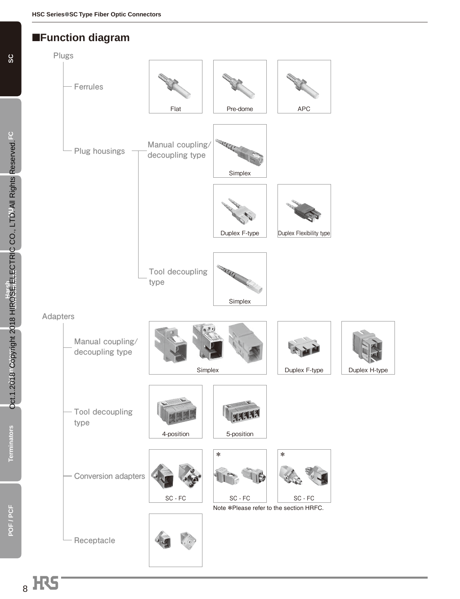#### ■**Function diagram**



**SC**

**POF / PCF**

POF/PCF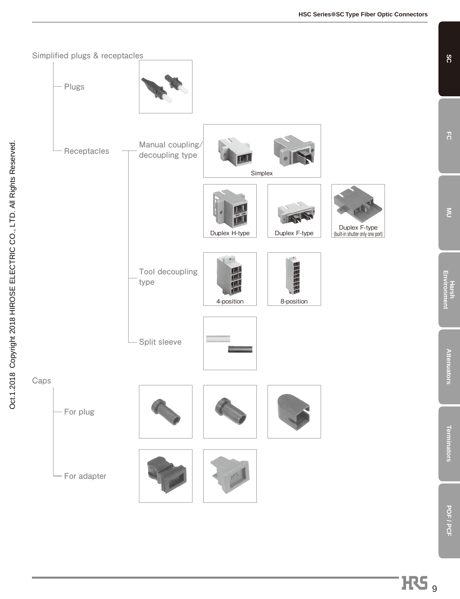

HS<sub>9</sub>

**SC**

**FC**

**MU**

**Harsh Environment**

**Attenuators**

**Attenuators** 

**Terminators**

Terminators

**POF / PCF**

POF / PCF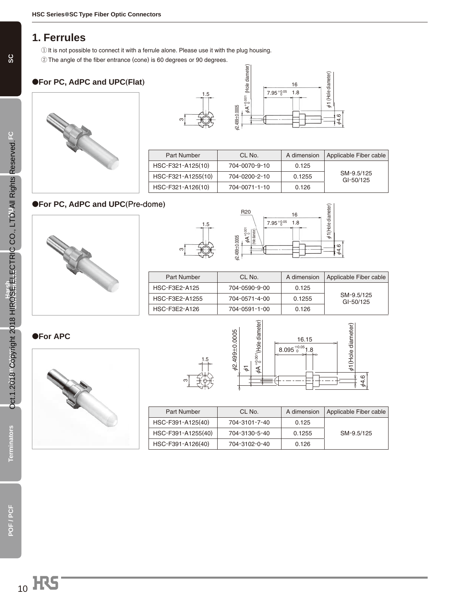#### **1. Ferrules**

- **①** It is not possible to connect it with a ferrule alone. Please use it with the plug housing.
- **②** The angle of the fiber entrance (cone) is 60 degrees or 90 degrees.

#### ●**For PC, AdPC and UPC(Flat)**





| Part Number        | CL No.        | A dimension | Applicable Fiber cable  |
|--------------------|---------------|-------------|-------------------------|
| HSC-F321-A125(10)  | 704-0070-9-10 | 0.125       |                         |
| HSC-F321-A1255(10) | 704-0200-2-10 | 0.1255      | SM-9.5/125<br>GI-50/125 |
| HSC-F321-A126(10)  | 704-0071-1-10 | 0.126       |                         |

#### ●**For PC, AdPC and UPC(Pre-dome)**







| Part Number    | CL No.        | A dimension | Applicable Fiber cable  |
|----------------|---------------|-------------|-------------------------|
| HSC-F3E2-A125  | 704-0590-9-00 | 0.125       |                         |
| HSC-F3E2-A1255 | 704-0571-4-00 | 0.1255      | SM-9.5/125<br>GI-50/125 |
| HSC-F3E2-A126  | 704-0591-1-00 | 0.126       |                         |



|   | .5<br>I |
|---|---------|
|   |         |
| S |         |



| Part Number        | CL No.        | A dimension | Applicable Fiber cable |
|--------------------|---------------|-------------|------------------------|
| HSC-F391-A125(40)  | 704-3101-7-40 | 0.125       |                        |
| HSC-F391-A1255(40) | 704-3130-5-40 | 0.1255      | SM-9.5/125             |
| HSC-F391-A126(40)  | 704-3102-0-40 | 0.126       |                        |

**Terminators**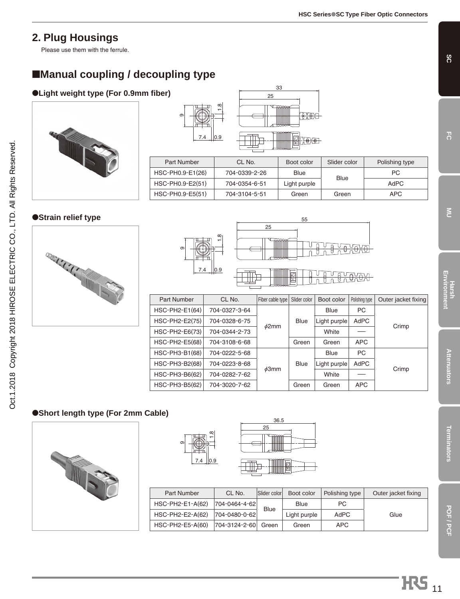# **2. Plug Housings**

Please use them with the ferrule.

# ■**Manual coupling / decoupling type**

#### **OLight weight type (For 0.9mm fiber)** 25



## ●**Strain relief type**

Oct.1.2018 Copyright 2018 HIROSE ELECTRIC CO., LTD. All Rights Reserved.

Oct.1.2018 Copyright 2018 HIROSE ELECTRIC CO., LTD. All Rights Reserved.





33

Part Number | CL No. | Boot color | Slider color | Polishing type

 $\frac{1}{100}$ 

 $-0.01$ 

HSC-PH0.9-E2(51) 704-0354-6-51 Light purple Plue AdPC HSC-PH0.9-E5(51) 704-3104-5-51 Green Green APC

Blue

PC

| Part Number      | CL No.        | Fiber cable type | Slider color | Boot color   | Polishing type | Outer jacket fixing |       |
|------------------|---------------|------------------|--------------|--------------|----------------|---------------------|-------|
| $HSC-PH2-E1(64)$ | 704-0327-3-64 | $\phi$ 2mm       |              | <b>Blue</b>  | PC             |                     |       |
| HSC-PH2-E2(75)   | 704-0328-6-75 |                  |              | <b>Blue</b>  | Light purple   | AdPC                | Crimp |
| $HSC-PH2-E6(73)$ | 704-0344-2-73 |                  |              |              |                | White               |       |
| $HSC-PH2-E5(68)$ | 704-3108-6-68 |                  | Green        | Green        | <b>APC</b>     |                     |       |
| $HSC-PH3-B1(68)$ | 704-0222-5-68 |                  |              | <b>Blue</b>  | PC             |                     |       |
| HSC-PH3-B2(68)   | 704-0223-8-68 |                  | <b>Blue</b>  | Light purple | AdPC           |                     |       |
| HSC-PH3-B6(62)   | 704-0282-7-62 | $\phi$ 3mm       |              | White        |                | Crimp               |       |
| HSC-PH3-B5(62)   | 704-3020-7-62 |                  | Green        | Green        | <b>APC</b>     |                     |       |

#### ●**Short length type (For 2mm Cable)**



| $\frac{8}{1}$<br>တ |  |
|--------------------|--|
| 0.9<br>7.4         |  |

 $\bigoplus_{7.4}$   $\bigoplus_{0.9}$ 

HSC-PH0.9-E1(26) 704-0339-2-26 Blue

 $\sigma$ 

| n<br>۰<br>۔ |
|-------------|

25 36.5

| <b>Part Number</b> | CL No.        | Slider color | Boot color   | Polishing type | Outer jacket fixing |
|--------------------|---------------|--------------|--------------|----------------|---------------------|
| $HSC-PH2-E1-A(62)$ | 704-0464-4-62 | <b>Blue</b>  | Blue         | PC.            |                     |
| HSC-PH2-E2-A(62)   | 704-0480-0-62 |              | Light purple | AdPC           | Glue                |
| HSC-PH2-E5-A(60)   | 704-3124-2-60 | Green        | Green        | APC.           |                     |

**SC**

**POF / PCF**

POF / PCF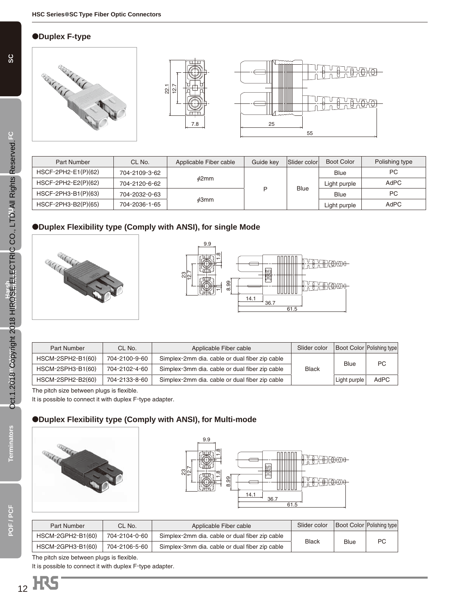#### ●**Duplex F-type**



| Part Number           | CL No.        | Slider color<br>Guide kev<br>Applicable Fiber cable |             | <b>Boot Color</b> | Polishing type |           |
|-----------------------|---------------|-----------------------------------------------------|-------------|-------------------|----------------|-----------|
| $HSCF-2PH2-E1(P)(62)$ | 704-2109-3-62 |                                                     |             |                   | <b>Blue</b>    | <b>PC</b> |
| $HSCF-2PH2-E2(P)(62)$ | 704-2120-6-62 | $\phi$ 2mm                                          | D           |                   | Light purple   | AdPC      |
| HSCF-2PH3-B1(P)(63)   | 704-2032-0-63 |                                                     | <b>Blue</b> |                   | <b>Blue</b>    | <b>PC</b> |
| HSCF-2PH3-B2(P)(65)   | 704-2036-1-65 | $\phi$ 3mm                                          |             |                   | Light purple   | AdPC      |

#### ●**Duplex Flexibility type (Comply with ANSI), for single Mode**





| Part Number       | CL No.        | Applicable Fiber cable                         | Slider color |              | Boot Color Polishing type |
|-------------------|---------------|------------------------------------------------|--------------|--------------|---------------------------|
| HSCM-2SPH2-B1(60) | 704-2100-9-60 | Simplex-2mm dia. cable or dual fiber zip cable |              | Blue         | PC                        |
| HSCM-2SPH3-B1(60) | 704-2102-4-60 | Simplex-3mm dia. cable or dual fiber zip cable | <b>Black</b> |              |                           |
| HSCM-2SPH2-B2(60) | 704-2133-8-60 | Simplex-2mm dia. cable or dual fiber zip cable |              | Light purple | AdPC                      |

The pitch size between plugs is flexible.

It is possible to connect it with duplex F-type adapter.

#### ●**Duplex Flexibility type (Comply with ANSI), for Multi-mode**





| Part Number       | CL No.        | Applicable Fiber cable                         | Slider color                |  | <b>Boot Color Polishing type</b> |
|-------------------|---------------|------------------------------------------------|-----------------------------|--|----------------------------------|
| HSCM-2GPH2-B1(60) | 704-2104-0-60 | Simplex-2mm dia. cable or dual fiber zip cable |                             |  |                                  |
| HSCM-2GPH3-B1(60) | 704-2106-5-60 | Simplex-3mm dia. cable or dual fiber zip cable | <b>Black</b><br><b>Blue</b> |  | PC                               |

The pitch size between plugs is flexible.

It is possible to connect it with duplex F-type adapter.

**Terminators**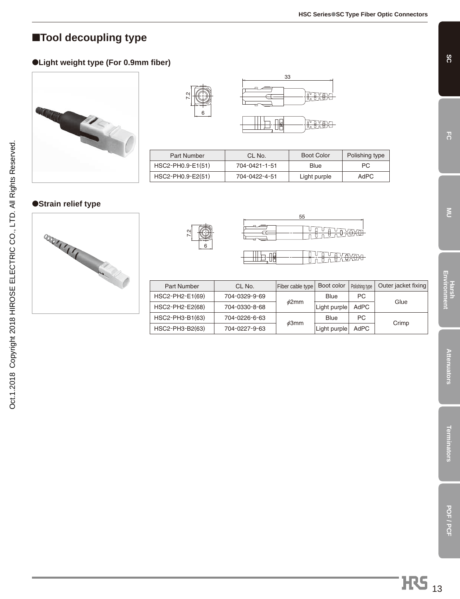**SC**

**FC**

**MU**

**Harsh Environment**

**Attenuators**

**Attenuators** 

**Terminators**

**Terminators** 

# ■**Tool decoupling type**

#### ●**Light weight type (For 0.9mm fiber)**





| Part Number       | CL No.        | <b>Boot Color</b> | Polishing type |
|-------------------|---------------|-------------------|----------------|
| HSC2-PH0.9-E1(51) | 704-0421-1-51 | Blue              | PC.            |
| HSC2-PH0.9-E2(51) | 704-0422-4-51 | Light purple      | AdPC           |

#### ●**Strain relief type**





7.2



**HEREH** 

 $T_{\rm eff}$ 

| <b>Part Number</b> | CL No.        | Fiber cable type | Boot color   | Polishing type | Outer jacket fixing |
|--------------------|---------------|------------------|--------------|----------------|---------------------|
| HSC2-PH2-E1(69)    | 704-0329-9-69 |                  | Blue         | PC             | Glue                |
| HSC2-PH2-E2(68)    | 704-0330-8-68 | $\phi$ 2mm       | Light purple | AdPC           |                     |
| HSC2-PH3-B1(63)    | 704-0226-6-63 |                  | Blue         | PC             |                     |
| HSC2-PH3-B2(63)    | 704-0227-9-63 | $\phi$ 3mm       | Light purple | AdPC           | Crimp               |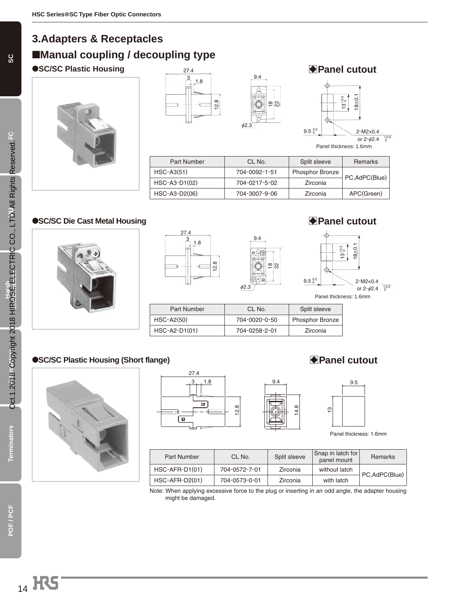# **3.Adapters & Receptacles** ■**Manual coupling / decoupling type**









Part Number | CL No. | Split sleeve | Remarks HSC-A3(51) 704-0092-1-51 Phosphor Bronze<br>HSC-A3-D1(02) 704-0217-5-02 Zirconia PC,AdPC(Blue) HSC-A3-D2(06) 704-3007-9-06 Zirconia APC(Green)

#### ●**SC/SC Die Cast Metal Housing and Allen and Allen and Allen and Allen and Allen and Allen and Allen and Allen and Allen and Allen and Allen and Allen and Allen and Allen and Allen and Allen and Allen and Allen and Allen**







| Part Number   | CL No.        | Split sleeve           |
|---------------|---------------|------------------------|
| $HSC-A2(50)$  | 704-0020-0-50 | <b>Phosphor Bronze</b> |
| HSC-A2-D1(01) | 704-0258-2-01 | Zirconia               |

Ø2.3

9.4

 $\circ \circ \circ$ 

#### ●**SC/SC Plastic Housing (Short flange)** BBC/SC Plastic Housing (Short flange)



| 27.4          |                                   |                    |               |
|---------------|-----------------------------------|--------------------|---------------|
| 1.8<br>$\sim$ |                                   | 9.4                | 9.5           |
|               |                                   |                    |               |
| Ш             | $\infty$<br>$\frac{\alpha}{\tau}$ | $\infty$<br>4<br>↽ | $\frac{1}{2}$ |
| ▥             |                                   |                    |               |
|               |                                   |                    |               |



Panel thickness: 1.6mm

| Part Number      | CL No.        | Split sleeve | Snap in latch for<br>panel mount | <b>Remarks</b> |
|------------------|---------------|--------------|----------------------------------|----------------|
| $HSC-AFR-D1(01)$ | 704-0572-7-01 | Zirconia     | without latch                    | PC,AdPC(Blue)  |
| HSC-AFR-D2(01)   | 704-0573-0-01 | Zirconia     | with latch                       |                |

Note: When applying excessive force to the plug or inserting in an odd angle, the adapter housing might be damaged.

**Terminators**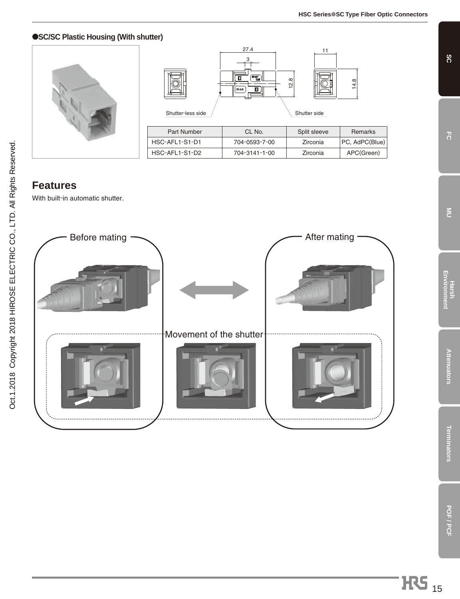**SC**

**FC**

 $\leq$ 

**Harsh Environment**

**Attenuators**

Attenuators

**Terminators**

**Terminators** 

**POF / PCF**

POF / PCF

#### ●**SC/SC Plastic Housing (With shutter)**



| Shutter-less side  | 27.4<br>$\overline{\text{MMM}}$<br>Ш<br>SC-A-8 | 11<br>12.8<br>Shutter side | 14.8           |
|--------------------|------------------------------------------------|----------------------------|----------------|
| <b>Part Number</b> | CL No.                                         | Split sleeve               | Remarks        |
| HSC-AFL1-S1-D1     | 704-0593-7-00                                  | Zirconia                   | PC, AdPC(Blue) |
| HSC-AFL1-S1-D2     | 704-3141-1-00                                  | Zirconia                   | APC(Green)     |

# **Features**

With built-in automatic shutter.

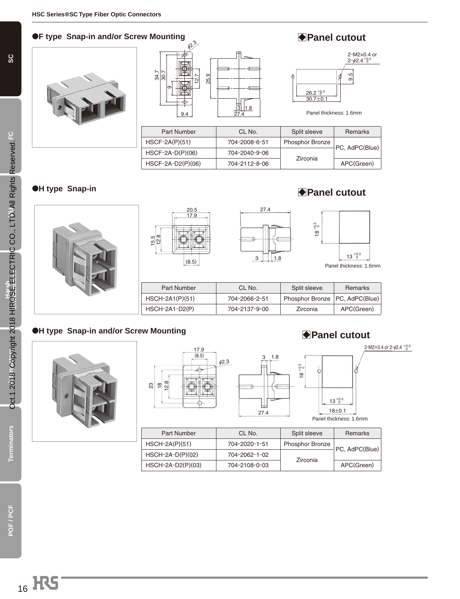#### ●**F** type Snap-in and/or Screw Mounting 2000 **BPanel cutout**







Panel thickness: 1.6mm

| Part Number         | CL No.        | Split sleeve           | Remarks        |
|---------------------|---------------|------------------------|----------------|
| $HSCF-2A(P)(51)$    | 704-2008-6-51 | <b>Phosphor Bronze</b> |                |
| $HSCF-2A-D(P)(06)$  | 704-2040-9-06 |                        | PC, AdPC(Blue) |
| $HSCF-2A-D2(P)(06)$ | 704-2112-8-06 | Zirconia               | APC(Green)     |

#### ●**H type Snap-in**





## B**Panel cutout**



| <b>Part Number</b> | CL No.        | Split sleeve                     | Remarks    |
|--------------------|---------------|----------------------------------|------------|
| $HSCH-2A1(P)(51)$  | 704-2066-2-51 | Phosphor Bronze   PC, AdPC(Blue) |            |
| $HSCH-2A1-D2(P)$   | 704-2137-9-00 | Zirconia                         | APC(Green) |

#### ●**H type Snap-in and/or Screw Mounting**





#### **Panel cutout**

 $2-M2\times 0.4$  or  $2-\frac{6}{2}.4$   $\frac{+0.2}{0}$ 



| $13^{+0.3}_{-0.3}$ |  |  |
|--------------------|--|--|
| $18+0.1$           |  |  |

Panel thickness: 1.6mm

| Part Number         | CL No.        | Split sleeve           | Remarks        |
|---------------------|---------------|------------------------|----------------|
| $HSCH-2A(P)(51)$    | 704-2020-1-51 | <b>Phosphor Bronze</b> |                |
| $HSCH-2A-D(P)(02)$  | 704-2062-1-02 | Zirconia               | PC, AdPC(Blue) |
| $HSCH-2A-D2(P)(03)$ | 704-2108-0-03 |                        | APC(Green)     |

27.4

F

**POF / PCF**

POF/PCF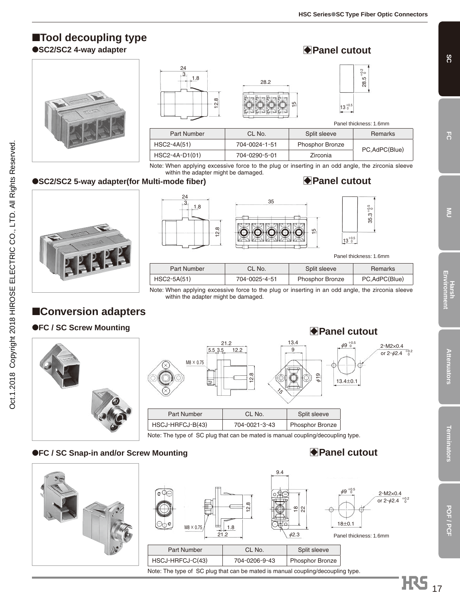# ■**Tool decoupling type**

●**SC2/SC2 4-way adapter**





# **Panel cutout**



Panel thickness: 1.6mm

+0.5 +0.5 35.3

| <b>Part Number</b> | CL No.        | Split sleeve           | Remarks       |
|--------------------|---------------|------------------------|---------------|
| $HSC2-4A(51)$      | 704-0024-1-51 | <b>Phosphor Bronze</b> | PC.AdPC(Blue) |
| $HSC2-4A-D1(01)$   | 704-0290-5-01 | Zirconia               |               |

5

28.2

Note: When applying excessive force to the plug or inserting in an odd angle, the zirconia sleeve within the adapter might be damaged.

#### ●**SC2/SC2 5-way adapter(for Multi-mode fiber)**



Oct.1.2018 Copyright 2018 HIROSE ELECTRIC CO., LTD. All Rights Reserved. Oct.1.2018 Copyright 2018 HIROSE ELECTRIC CO., LTD. All Rights Reserved.



#### B**Panel cutout**

|             |               | .                      |                        |
|-------------|---------------|------------------------|------------------------|
|             |               |                        | Panel thickness: 1.6mm |
| Part Number | CL No.        | Split sleeve           | Remarks                |
| HSC2-5A(51) | 704-0025-4-51 | <b>Phosphor Bronze</b> | PC, AdPC(Blue)         |

13.4

Note: When applying excessive force to the plug or inserting in an odd angle, the zirconia sleeve within the adapter might be damaged.

# ■**Conversion adapters**

#### ●**FC / SC Screw Mounting**



| 5.5 3.5<br>$M8 \times 0.75$<br>$\mathbf{r}$ | 12.2<br>$\infty$<br>$\sim$<br>$\mathbf{r}$<br>75 | 9<br>619        | $13.4 \pm 0.1$ |
|---------------------------------------------|--------------------------------------------------|-----------------|----------------|
| <b>Part Number</b>                          | CL No.                                           | Split sleeve    |                |
| HSCJ-HRFCJ-B(43)                            | 704-0021-3-43                                    | Phosphor Bronze |                |

21.2

Note: The type of SC plug that can be mated is manual coupling/decoupling type.

#### ●**FC / SC Snap-in and/or Screw Mounting** B**Panel cutout**





# $\bigoplus$  **Panel cutout**

 $6^{+0.5}_{-0.5}$ 



**Attenuators**

**Attenuators** 

17

**H**S

**SC**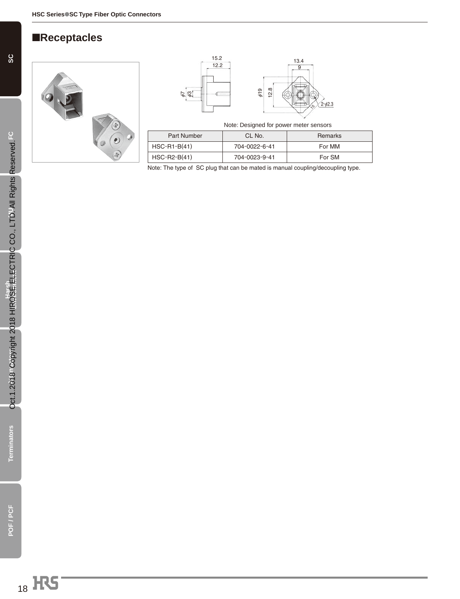# ■**Receptacles**







|             | Note: Designed for power meter sensors |         |
|-------------|----------------------------------------|---------|
| Part Number | CL No.                                 | Remarks |

| HSC-R1-B(41) | 704-0022-6-41 | For MM |
|--------------|---------------|--------|
| HSC-R2-B(41) | 704-0023-9-41 | For SM |

Note: The type of SC plug that can be mated is manual coupling/decoupling type.

**Terminators**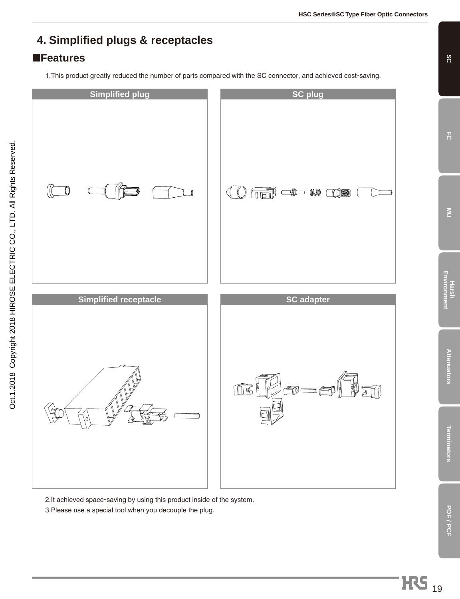# **4. Simplified plugs & receptacles**

#### ■**Features**

1.This product greatly reduced the number of parts compared with the SC connector, and achieved cost-saving.



2.It achieved space-saving by using this product inside of the system.

3.Please use a special tool when you decouple the plug.

**SC**

**FC**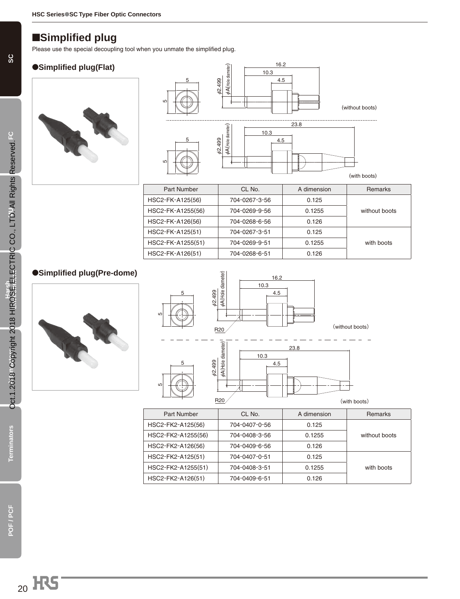## ■**Simplified plug**

Please use the special decoupling tool when you unmate the simplified plug.

#### ●**Simplified plug(Flat)**





| <b>Part Number</b> | CL No.        | A dimension | <b>Remarks</b> |
|--------------------|---------------|-------------|----------------|
| HSC2-FK-A125(56)   | 704-0267-3-56 | 0.125       |                |
| HSC2-FK-A1255(56)  | 704-0269-9-56 | 0.1255      | without boots  |
| HSC2-FK-A126(56)   | 704-0268-6-56 | 0.126       |                |
| HSC2-FK-A125(51)   | 704-0267-3-51 | 0.125       |                |
| HSC2-FK-A1255(51)  | 704-0269-9-51 | 0.1255      | with boots     |
| HSC2-FK-A126(51)   | 704-0268-6-51 | 0.126       |                |

#### ●**Simplified plug(Pre-dome)**





| Part Number        | CL No.        | A dimension | <b>Remarks</b> |
|--------------------|---------------|-------------|----------------|
| HSC2-FK2-A125(56)  | 704-0407-0-56 | 0.125       |                |
| HSC2-FK2-A1255(56) | 704-0408-3-56 | 0.1255      | without boots  |
| HSC2-FK2-A126(56)  | 704-0409-6-56 | 0.126       |                |
| HSC2-FK2-A125(51)  | 704-0407-0-51 | 0.125       |                |
| HSC2-FK2-A1255(51) | 704-0408-3-51 | 0.1255      | with boots     |
| HSC2-FK2-A126(51)  | 704-0409-6-51 | 0.126       |                |

**Terminators**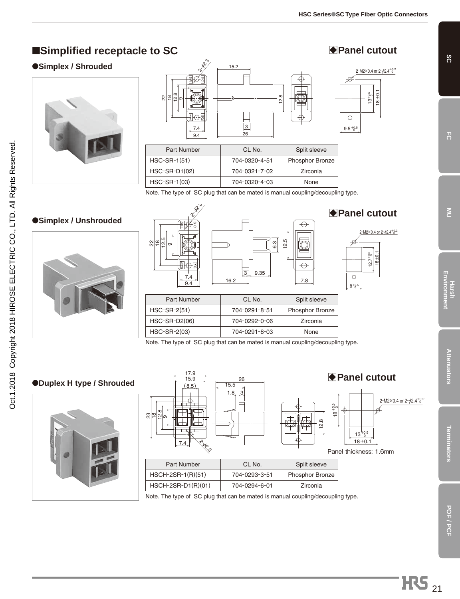# ■**Simplified receptacle to SC**

#### ●**Simplex / Shrouded**





| <b>Part Number</b> | CL No.        | Split sleeve           |
|--------------------|---------------|------------------------|
| HSC-SR-1(51)       | 704-0320-4-51 | <b>Phosphor Bronze</b> |
| HSC-SR-D1(02)      | 704-0321-7-02 | Zirconia               |
| HSC-SR-1(03)       | 704-0320-4-03 | None                   |

Note. The type of SC plug that can be mated is manual coupling/decoupling type.

# ●**Simplex / Unshrouded**





Note. The type of SC plug that can be mated is manual coupling/decoupling type.

#### ●**Duplex H type / Shrouded**





Note. The type of SC plug that can be mated is manual coupling/decoupling type.



 $12.7^{+0.5}$  $18 + 0.1$ 

 $2 - M2 \times 0.4$  or  $2 - \phi 2.4^{+0.2}$ 

**SC**

**FC**

E<br>Mu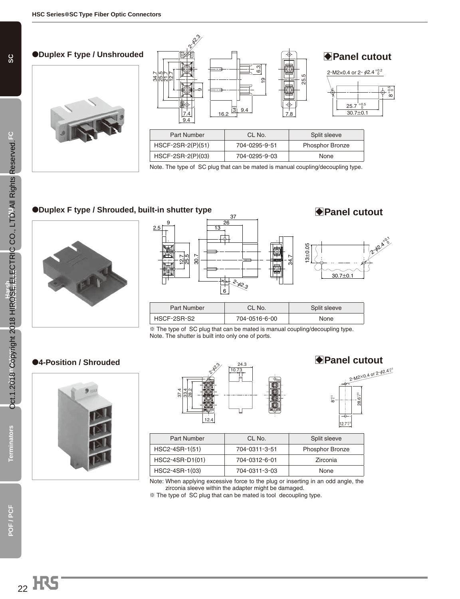#### ●**Duplex F type / Unshrouded**



| d | $8^{25}$<br>2012년<br>2012년<br>$\sigma$<br>16.2<br><u>7.4</u><br>9.4 | S<br>۵Ö<br>$\overline{9}$<br>9.4<br>$\overline{3}$ | <b>◆ Panel cutout</b><br>.,<br>2-M2×0.4 or 2- $\phi$ 2.4 <sup>+0.2</sup><br>ပ<br>25<br>$25.7_{-0}^{+0.5}$<br>Ŧ.<br>$30.7 + 0.1$<br>7.8 | $8^{+0.5}_{-0}$ |
|---|---------------------------------------------------------------------|----------------------------------------------------|----------------------------------------------------------------------------------------------------------------------------------------|-----------------|
|   | <b>Part Number</b>                                                  | CL No.                                             | Split sleeve                                                                                                                           |                 |
|   | HSCF-2SR-2(P)(51)                                                   | 704-0295-9-51                                      | Phosphor Bronze                                                                                                                        |                 |
|   | HSCF-2SR-2(P)(03)                                                   | 704-0295-9-03                                      | None                                                                                                                                   |                 |

Note. The type of SC plug that can be mated is manual coupling/decoupling type.

#### ●**Duplex F type / Shrouded, built-in shutter type**





 $*$  The type of SC plug that can be mated is manual coupling/decoupling type. Note. The shutter is built into only one of ports.

#### ●**4-Position / Shrouded**





 $2 - M2 \times 0.4$  or  $2 - \phi 2.4^{+0.2}_{-0.2}$ B**Panel cutout**



 $\overline{\phantom{a}}$ 

| Part Number      | CL No.        | Split sleeve           |
|------------------|---------------|------------------------|
| $HSC2-4SR-1(51)$ | 704-0311-3-51 | <b>Phosphor Bronze</b> |
| HSC2-4SR-D1(01)  | 704-0312-6-01 | Zirconia               |
| HSC2-4SR-1(03)   | 704-0311-3-03 | None                   |

Note: When applying excessive force to the plug or inserting in an odd angle, the zirconia sleeve within the adapter might be damaged.

 $*$  The type of SC plug that can be mated is tool decoupling type.

**Terminators**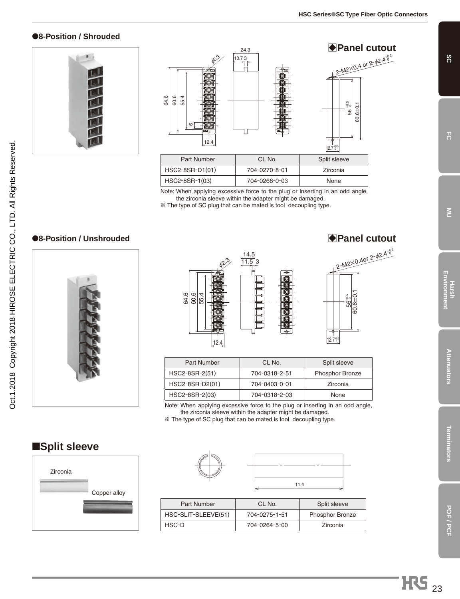#### ●**8-Position / Shrouded**





| Part Number     | CL No.        | Split sleeve |
|-----------------|---------------|--------------|
| HSC2-8SR-D1(01) | 704-0270-8-01 | Zirconia     |
| HSC2-8SR-1(03)  | 704-0266-0-03 | <b>None</b>  |

Note: When applying excessive force to the plug or inserting in an odd angle, the zirconia sleeve within the adapter might be damaged.

 $*$  The type of SC plug that can be mated is tool decoupling type.

#### ●**8-Position / Unshrouded** BPanel cutout





| <b>Part Number</b> | CL No.        | Split sleeve           |
|--------------------|---------------|------------------------|
| HSC2-8SR-2(51)     | 704-0318-2-51 | <b>Phosphor Bronze</b> |
| HSC2-8SR-D2(01)    | 704-0403-0-01 | Zirconia               |
| HSC2-8SR-2(03)     | 704-0318-2-03 | None                   |

Note: When applying excessive force to the plug or inserting in an odd angle, the zirconia sleeve within the adapter might be damaged.

 $*$  The type of SC plug that can be mated is tool decoupling type.

## ■**Split sleeve**



| 11.4 |
|------|

| Part Number         | CL No.        | Split sleeve           |
|---------------------|---------------|------------------------|
| HSC-SLIT-SLEEVE(51) | 704-0275-1-51 | <b>Phosphor Bronze</b> |
| HSC-D               | 704-0264-5-00 | Zirconia               |

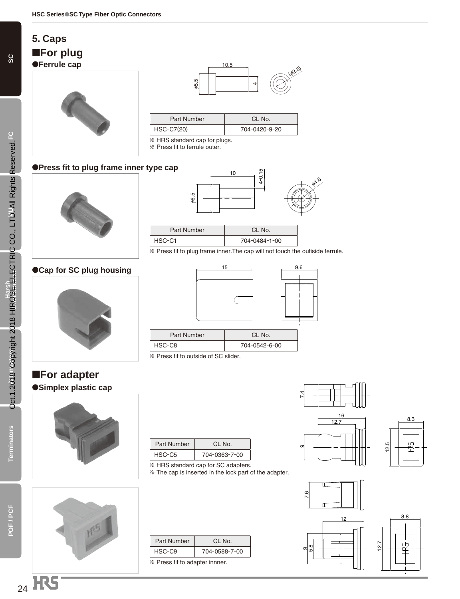## **5. Caps**

■**For plug**

●**Ferrule cap**





| Part Number       | CL No.        |
|-------------------|---------------|
| <b>HSC-C7(20)</b> | 704-0420-9-20 |

 $*$  HRS standard cap for plugs.

 $*$  Press fit to ferrule outer.

#### ●**Press fit to plug frame inner type cap**





HSC-C1 704-0484-1-00

π Press fit to plug frame inner.The cap will not touch the outiside ferrule.

#### ●**Cap for SC plug housing**



# ■**For adapter**





# 15 9.6

| Part Number | CL No.        |
|-------------|---------------|
| HSC-C8      | 704-0542-6-00 |
|             |               |

 $*$  Press fit to outside of SC slider.

| Part Number | $Cl$ No.      |
|-------------|---------------|
| HSC-C5      | 704-0363-7-00 |

 $*$  HRS standard cap for SC adapters.

π The cap is inserted in the lock part of the adapter.

| Part Number                    | $CI$ No.      |  |
|--------------------------------|---------------|--|
| HSC-C9                         | 704-0588-7-00 |  |
| * Press fit to adapter innner. |               |  |





8.8











**Terminators**

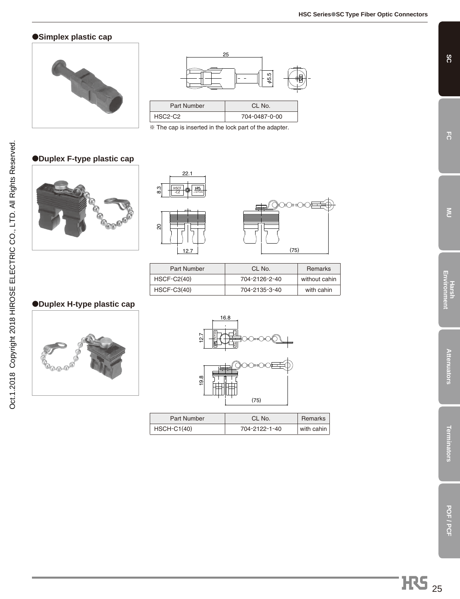#### ●**Simplex plastic cap**



 $\sqrt{2}$ 

L

|                    | 25<br>rö.<br>59 |  |
|--------------------|-----------------|--|
| <b>Part Number</b> | CL No.          |  |
| HSC2-C2            | 704-0487-0-00   |  |
|                    |                 |  |

 $\overline{\mathscr{K}}$  The cap is inserted in the lock part of the adapter.

#### ●**Duplex F-type plastic cap**





| Part Number   | CL No.        | <b>Remarks</b> |
|---------------|---------------|----------------|
| $HSCF-C2(40)$ | 704-2126-2-40 | without cahin  |
| $HSCF-C3(40)$ | 704-2135-3-40 | with cahin     |

#### ●**Duplex H-type plastic cap**





| Part Number   | CL No.        | Remarks    |
|---------------|---------------|------------|
| $HSCH-C1(40)$ | 704-2122-1-40 | with cahin |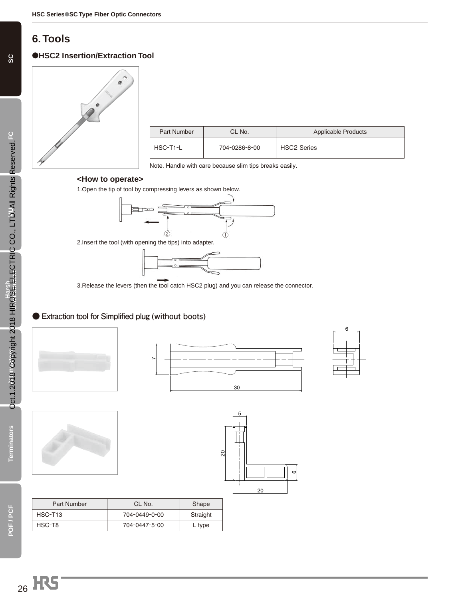# **6. Tools**

#### ●**HSC2 Insertion/Extraction Tool**



| Part Number | CL No.        | Applicable Products |
|-------------|---------------|---------------------|
| HSC-T1-L    | 704-0286-8-00 | <b>HSC2 Series</b>  |

Note. Handle with care because slim tips breaks easily.

#### **<How to operate>**

1.Open the tip of tool by compressing levers as shown below.



2.Insert the tool (with opening the tips) into adapter.



3.Release the levers (then the tool catch HSC2 plug) and you can release the connector.

#### **● Extraction tool for Simplified plug (without boots)**











| Part Number         | CL No.        | Shape    |
|---------------------|---------------|----------|
| HSC-T <sub>13</sub> | 704-0449-0-00 | Straight |
| HSC-T8              | 704-0447-5-00 | L type   |

<sub>26</sub> H<sub>S</sub>

**SC**